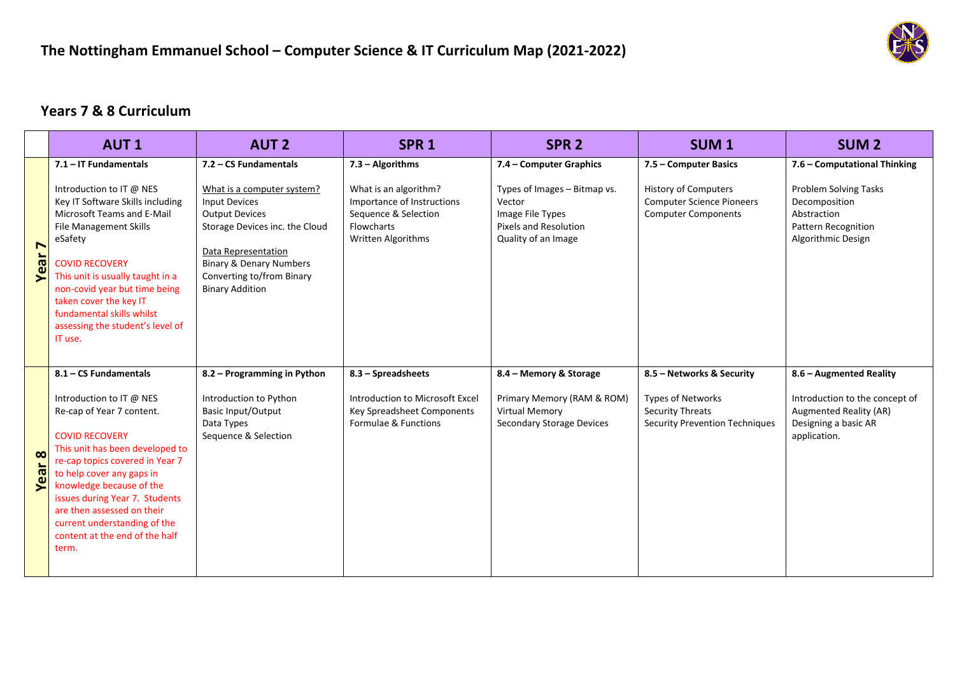

## **Years 7 & 8 Curriculum**

|                               | <b>AUT1</b>                                                                                                                                                                                                                                                                                                                                                                       | <b>AUT 2</b>                                                                                                                                                                                                                      | SPR <sub>1</sub>                                                                                                | SPR <sub>2</sub>                                                                                                  | SUM <sub>1</sub>                                                                                                          | <b>SUM<sub>2</sub></b>                                                                                                             |
|-------------------------------|-----------------------------------------------------------------------------------------------------------------------------------------------------------------------------------------------------------------------------------------------------------------------------------------------------------------------------------------------------------------------------------|-----------------------------------------------------------------------------------------------------------------------------------------------------------------------------------------------------------------------------------|-----------------------------------------------------------------------------------------------------------------|-------------------------------------------------------------------------------------------------------------------|---------------------------------------------------------------------------------------------------------------------------|------------------------------------------------------------------------------------------------------------------------------------|
|                               | 7.1 - IT Fundamentals                                                                                                                                                                                                                                                                                                                                                             | 7.2 - CS Fundamentals                                                                                                                                                                                                             | 7.3 - Algorithms                                                                                                | 7.4 - Computer Graphics                                                                                           | 7.5 - Computer Basics                                                                                                     | 7.6 - Computational Thinking                                                                                                       |
| $\blacktriangleright$<br>Year | Introduction to IT @ NES<br>Key IT Software Skills including<br>Microsoft Teams and E-Mail<br><b>File Management Skills</b><br>eSafety<br><b>COVID RECOVERY</b><br>This unit is usually taught in a<br>non-covid year but time being<br>taken cover the key IT<br>fundamental skills whilst<br>assessing the student's level of<br>IT use.                                        | What is a computer system?<br><b>Input Devices</b><br><b>Output Devices</b><br>Storage Devices inc. the Cloud<br>Data Representation<br><b>Binary &amp; Denary Numbers</b><br>Converting to/from Binary<br><b>Binary Addition</b> | What is an algorithm?<br>Importance of Instructions<br>Sequence & Selection<br>Flowcharts<br>Written Algorithms | Types of Images - Bitmap vs.<br>Vector<br>Image File Types<br><b>Pixels and Resolution</b><br>Quality of an Image | <b>History of Computers</b><br><b>Computer Science Pioneers</b><br><b>Computer Components</b>                             | Problem Solving Tasks<br>Decomposition<br>Abstraction<br><b>Pattern Recognition</b><br>Algorithmic Design                          |
| $\infty$<br>Yea               | 8.1 - CS Fundamentals<br>Introduction to IT @ NES<br>Re-cap of Year 7 content.<br><b>COVID RECOVERY</b><br>This unit has been developed to<br>re-cap topics covered in Year 7<br>to help cover any gaps in<br>knowledge because of the<br>issues during Year 7. Students<br>are then assessed on their<br>current understanding of the<br>content at the end of the half<br>term. | 8.2 – Programming in Python<br>Introduction to Python<br><b>Basic Input/Output</b><br>Data Types<br>Sequence & Selection                                                                                                          | 8.3 - Spreadsheets<br>Introduction to Microsoft Excel<br>Key Spreadsheet Components<br>Formulae & Functions     | 8.4 - Memory & Storage<br>Primary Memory (RAM & ROM)<br>Virtual Memory<br><b>Secondary Storage Devices</b>        | 8.5 - Networks & Security<br><b>Types of Networks</b><br><b>Security Threats</b><br><b>Security Prevention Techniques</b> | 8.6 - Augmented Reality<br>Introduction to the concept of<br><b>Augmented Reality (AR)</b><br>Designing a basic AR<br>application. |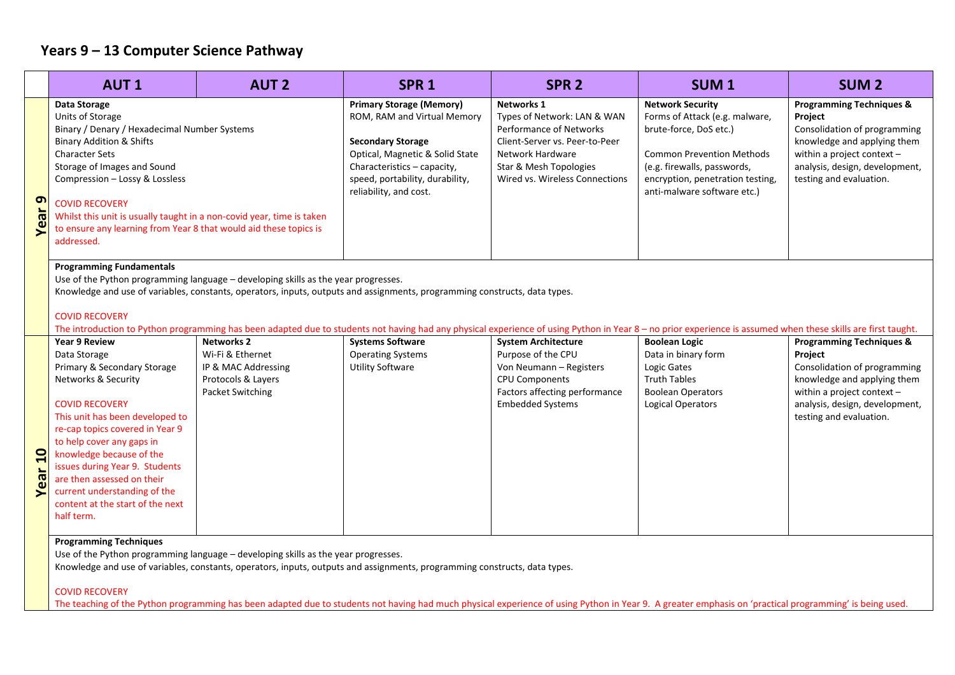# **Years 9 – 13 Computer Science Pathway**

|                                                                                                                                                                                                                                                                                                                                                                                                                                                                                                                                                                                                                                                                                                                                                                                                                                                                                                                                                                                                                                                                                                                                                                                                                                                                                                                                                                                                                     | <b>AUT1</b>                                                                                                                                                                                                                                                                                                                                                                                            | <b>AUT 2</b> | SPR <sub>1</sub>                                                                                                                                                                                                          | SPR <sub>2</sub>                                                                                                                                                                       | SUM <sub>1</sub>                                                                                                                                                                                                          | <b>SUM2</b>                                                                                                                                                                                              |
|---------------------------------------------------------------------------------------------------------------------------------------------------------------------------------------------------------------------------------------------------------------------------------------------------------------------------------------------------------------------------------------------------------------------------------------------------------------------------------------------------------------------------------------------------------------------------------------------------------------------------------------------------------------------------------------------------------------------------------------------------------------------------------------------------------------------------------------------------------------------------------------------------------------------------------------------------------------------------------------------------------------------------------------------------------------------------------------------------------------------------------------------------------------------------------------------------------------------------------------------------------------------------------------------------------------------------------------------------------------------------------------------------------------------|--------------------------------------------------------------------------------------------------------------------------------------------------------------------------------------------------------------------------------------------------------------------------------------------------------------------------------------------------------------------------------------------------------|--------------|---------------------------------------------------------------------------------------------------------------------------------------------------------------------------------------------------------------------------|----------------------------------------------------------------------------------------------------------------------------------------------------------------------------------------|---------------------------------------------------------------------------------------------------------------------------------------------------------------------------------------------------------------------------|----------------------------------------------------------------------------------------------------------------------------------------------------------------------------------------------------------|
| G<br><b>Year</b>                                                                                                                                                                                                                                                                                                                                                                                                                                                                                                                                                                                                                                                                                                                                                                                                                                                                                                                                                                                                                                                                                                                                                                                                                                                                                                                                                                                                    | Data Storage<br>Units of Storage<br>Binary / Denary / Hexadecimal Number Systems<br><b>Binary Addition &amp; Shifts</b><br><b>Character Sets</b><br>Storage of Images and Sound<br>Compression - Lossy & Lossless<br><b>COVID RECOVERY</b><br>Whilst this unit is usually taught in a non-covid year, time is taken<br>to ensure any learning from Year 8 that would aid these topics is<br>addressed. |              | <b>Primary Storage (Memory)</b><br>ROM, RAM and Virtual Memory<br><b>Secondary Storage</b><br>Optical, Magnetic & Solid State<br>Characteristics - capacity,<br>speed, portability, durability,<br>reliability, and cost. | Networks 1<br>Types of Network: LAN & WAN<br>Performance of Networks<br>Client-Server vs. Peer-to-Peer<br>Network Hardware<br>Star & Mesh Topologies<br>Wired vs. Wireless Connections | <b>Network Security</b><br>Forms of Attack (e.g. malware,<br>brute-force, DoS etc.)<br><b>Common Prevention Methods</b><br>(e.g. firewalls, passwords,<br>encryption, penetration testing,<br>anti-malware software etc.) | <b>Programming Techniques &amp;</b><br>Project<br>Consolidation of programming<br>knowledge and applying them<br>within a project context -<br>analysis, design, development,<br>testing and evaluation. |
| <b>Programming Fundamentals</b><br>Use of the Python programming language - developing skills as the year progresses.<br>Knowledge and use of variables, constants, operators, inputs, outputs and assignments, programming constructs, data types.<br><b>COVID RECOVERY</b><br>The introduction to Python programming has been adapted due to students not having had any physical experience of using Python in Year 8 - no prior experience is assumed when these skills are first taught.<br><b>Networks 2</b><br><b>Systems Software</b><br><b>Year 9 Review</b><br><b>System Architecture</b><br><b>Boolean Logic</b><br><b>Programming Techniques &amp;</b><br>Wi-Fi & Ethernet<br><b>Operating Systems</b><br>Purpose of the CPU<br>Data in binary form<br>Data Storage<br>Project<br>Primary & Secondary Storage<br><b>Utility Software</b><br>Von Neumann - Registers<br>Logic Gates<br>Consolidation of programming<br>IP & MAC Addressing<br>Networks & Security<br>Protocols & Layers<br><b>CPU Components</b><br><b>Truth Tables</b><br>knowledge and applying them<br>Factors affecting performance<br>Packet Switching<br><b>Boolean Operators</b><br>within a project context -<br><b>COVID RECOVERY</b><br><b>Embedded Systems</b><br><b>Logical Operators</b><br>analysis, design, development,<br>This unit has been developed to<br>testing and evaluation.<br>re-cap topics covered in Year 9 |                                                                                                                                                                                                                                                                                                                                                                                                        |              |                                                                                                                                                                                                                           |                                                                                                                                                                                        |                                                                                                                                                                                                                           |                                                                                                                                                                                                          |
| Year <sub>10</sub>                                                                                                                                                                                                                                                                                                                                                                                                                                                                                                                                                                                                                                                                                                                                                                                                                                                                                                                                                                                                                                                                                                                                                                                                                                                                                                                                                                                                  | to help cover any gaps in<br>knowledge because of the<br>issues during Year 9. Students<br>are then assessed on their<br>current understanding of the<br>content at the start of the next<br>half term.<br><b>Programming Techniques</b>                                                                                                                                                               |              |                                                                                                                                                                                                                           |                                                                                                                                                                                        |                                                                                                                                                                                                                           |                                                                                                                                                                                                          |

Use of the Python programming language – developing skills as the year progresses.

Knowledge and use of variables, constants, operators, inputs, outputs and assignments, programming constructs, data types.

### COVID RECOVERY

The teaching of the Python programming has been adapted due to students not having had much physical experience of using Python in Year 9. A greater emphasis on 'practical programming' is being used.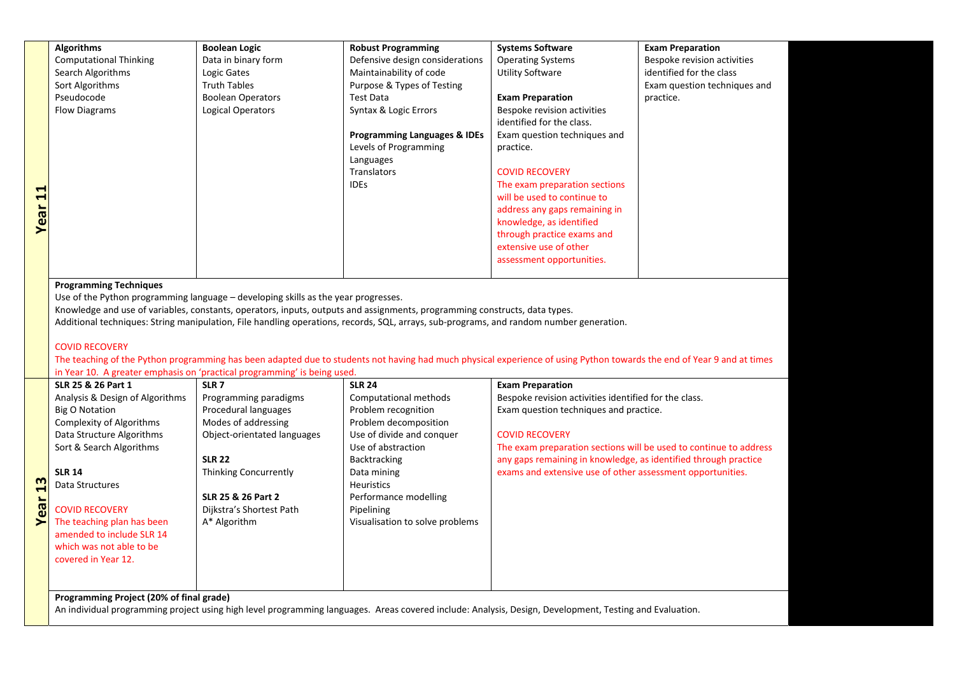|                         | <b>Algorithms</b>             | <b>Boolean Logic</b>     | <b>Robust Programming</b>               | <b>Systems Software</b>       | <b>Exam Preparation</b>      |  |
|-------------------------|-------------------------------|--------------------------|-----------------------------------------|-------------------------------|------------------------------|--|
|                         | <b>Computational Thinking</b> | Data in binary form      | Defensive design considerations         | <b>Operating Systems</b>      | Bespoke revision activities  |  |
|                         | Search Algorithms             | Logic Gates              | Maintainability of code                 | <b>Utility Software</b>       | identified for the class     |  |
|                         | Sort Algorithms               | <b>Truth Tables</b>      | Purpose & Types of Testing              |                               | Exam question techniques and |  |
|                         | Pseudocode                    | <b>Boolean Operators</b> | Test Data                               | <b>Exam Preparation</b>       | practice.                    |  |
|                         | <b>Flow Diagrams</b>          | Logical Operators        | Syntax & Logic Errors                   | Bespoke revision activities   |                              |  |
|                         |                               |                          |                                         | identified for the class.     |                              |  |
|                         |                               |                          | <b>Programming Languages &amp; IDEs</b> | Exam question techniques and  |                              |  |
|                         |                               |                          | Levels of Programming                   | practice.                     |                              |  |
|                         |                               |                          | Languages                               |                               |                              |  |
|                         |                               |                          | Translators                             | <b>COVID RECOVERY</b>         |                              |  |
|                         |                               |                          | <b>IDES</b>                             | The exam preparation sections |                              |  |
| $\overline{\mathbf{u}}$ |                               |                          |                                         | will be used to continue to   |                              |  |
| $\frac{1}{6}$           |                               |                          |                                         | address any gaps remaining in |                              |  |
|                         |                               |                          |                                         | knowledge, as identified      |                              |  |
|                         |                               |                          |                                         | through practice exams and    |                              |  |
|                         |                               |                          |                                         | extensive use of other        |                              |  |
|                         |                               |                          |                                         | assessment opportunities.     |                              |  |
|                         |                               |                          |                                         |                               |                              |  |
|                         | Desarananatan Tanhatarras     |                          |                                         |                               |                              |  |

#### **Programming Techniques**

Use of the Python programming language – developing skills as the year progresses.

Knowledge and use of variables, constants, operators, inputs, outputs and assignments, programming constructs, data types.

Additional techniques: String manipulation, File handling operations, records, SQL, arrays, sub-programs, and random number generation.

#### COVID RECOVERY

The teaching of the Python programming has been adapted due to students not having had much physical experience of using Python towards the end of Year 9 and at times in Year 10. A greater emphasis on 'practical programming' is being used.

|                               | SLR 25 & 26 Part 1              | SLR <sub>7</sub>             | <b>SLR 24</b>                   | <b>Exam Preparation</b>                                           |
|-------------------------------|---------------------------------|------------------------------|---------------------------------|-------------------------------------------------------------------|
|                               | Analysis & Design of Algorithms | Programming paradigms        | Computational methods           | Bespoke revision activities identified for the class.             |
|                               | Big O Notation                  | Procedural languages         | Problem recognition             | Exam question techniques and practice.                            |
|                               | Complexity of Algorithms        | Modes of addressing          | Problem decomposition           |                                                                   |
|                               | Data Structure Algorithms       | Object-orientated languages  | Use of divide and conquer       | <b>COVID RECOVERY</b>                                             |
|                               | Sort & Search Algorithms        |                              | Use of abstraction              | The exam preparation sections will be used to continue to address |
|                               |                                 | <b>SLR 22</b>                | <b>Backtracking</b>             | any gaps remaining in knowledge, as identified through practice   |
|                               | <b>SLR 14</b>                   | <b>Thinking Concurrently</b> | Data mining                     | exams and extensive use of other assessment opportunities.        |
| m<br>$\mathrel{\blacksquare}$ | Data Structures                 |                              | <b>Heuristics</b>               |                                                                   |
|                               |                                 | SLR 25 & 26 Part 2           | Performance modelling           |                                                                   |
| ear                           | <b>COVID RECOVERY</b>           | Dijkstra's Shortest Path     | Pipelining                      |                                                                   |
|                               | The teaching plan has been      | A* Algorithm                 | Visualisation to solve problems |                                                                   |
|                               | amended to include SLR 14       |                              |                                 |                                                                   |
|                               | which was not able to be        |                              |                                 |                                                                   |
|                               | covered in Year 12.             |                              |                                 |                                                                   |
|                               |                                 |                              |                                 |                                                                   |
|                               |                                 |                              |                                 |                                                                   |

**Programming Project (20% of final grade)** 

An individual programming project using high level programming languages. Areas covered include: Analysis, Design, Development, Testing and Evaluation.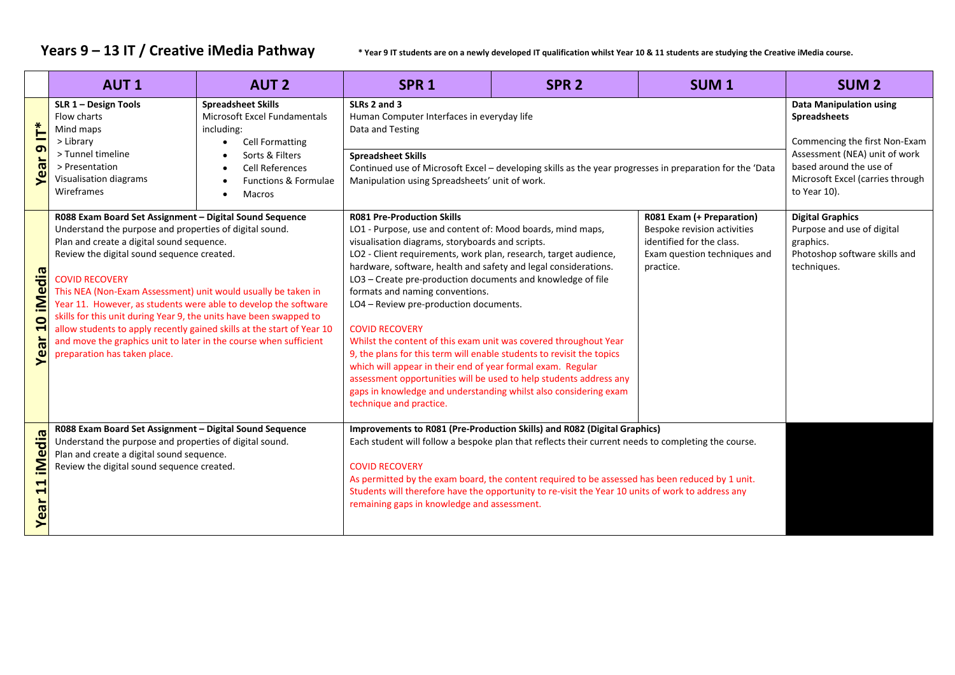Years 9 - 13 IT / Creative iMedia Pathway *inverthy the are on a newly developed IT qualification whilst Year 10 & 11 students are studying the Creative iMedia course.* 

|                                                                | <b>AUT1</b>                                                                                                                                                                                                                                                                                                                                                                                                                                                                                                                                                                                                                     | <b>AUT 2</b>                                                                                                                                                                     | SPR <sub>1</sub>                                                                                                                                                                                                                                                                                                                                                                                                                                                                                                                                                                                                                                                                                                                                                                                                                                              | SPR <sub>2</sub>                                                                                                                                                                                       | SUM <sub>1</sub>                                                                                                      | SUM <sub>2</sub>                                                                                                   |
|----------------------------------------------------------------|---------------------------------------------------------------------------------------------------------------------------------------------------------------------------------------------------------------------------------------------------------------------------------------------------------------------------------------------------------------------------------------------------------------------------------------------------------------------------------------------------------------------------------------------------------------------------------------------------------------------------------|----------------------------------------------------------------------------------------------------------------------------------------------------------------------------------|---------------------------------------------------------------------------------------------------------------------------------------------------------------------------------------------------------------------------------------------------------------------------------------------------------------------------------------------------------------------------------------------------------------------------------------------------------------------------------------------------------------------------------------------------------------------------------------------------------------------------------------------------------------------------------------------------------------------------------------------------------------------------------------------------------------------------------------------------------------|--------------------------------------------------------------------------------------------------------------------------------------------------------------------------------------------------------|-----------------------------------------------------------------------------------------------------------------------|--------------------------------------------------------------------------------------------------------------------|
| $\check{\mathsf{r}}$<br>$\sigma$<br>Year                       | SLR 1 - Design Tools<br>Flow charts<br>Mind maps<br>> Library<br>> Tunnel timeline<br>> Presentation<br>Visualisation diagrams<br>Wireframes                                                                                                                                                                                                                                                                                                                                                                                                                                                                                    | <b>Spreadsheet Skills</b><br>Microsoft Excel Fundamentals<br>including:<br><b>Cell Formatting</b><br>Sorts & Filters<br><b>Cell References</b><br>Functions & Formulae<br>Macros | SLRs 2 and 3<br>Human Computer Interfaces in everyday life<br>Data and Testing<br><b>Spreadsheet Skills</b><br>Continued use of Microsoft Excel - developing skills as the year progresses in preparation for the 'Data<br>Manipulation using Spreadsheets' unit of work.                                                                                                                                                                                                                                                                                                                                                                                                                                                                                                                                                                                     | <b>Data Manipulation using</b><br><b>Spreadsheets</b><br>Commencing the first Non-Exam<br>Assessment (NEA) unit of work<br>based around the use of<br>Microsoft Excel (carries through<br>to Year 10). |                                                                                                                       |                                                                                                                    |
| iMedia<br>$\bullet$<br>$\blacktriangleright$<br><b>Year</b>    | R088 Exam Board Set Assignment - Digital Sound Sequence<br>Understand the purpose and properties of digital sound.<br>Plan and create a digital sound sequence.<br>Review the digital sound sequence created.<br><b>COVID RECOVERY</b><br>This NEA (Non-Exam Assessment) unit would usually be taken in<br>Year 11. However, as students were able to develop the software<br>skills for this unit during Year 9, the units have been swapped to<br>allow students to apply recently gained skills at the start of Year 10<br>and move the graphics unit to later in the course when sufficient<br>preparation has taken place. |                                                                                                                                                                                  | <b>R081 Pre-Production Skills</b><br>LO1 - Purpose, use and content of: Mood boards, mind maps,<br>visualisation diagrams, storyboards and scripts.<br>LO2 - Client requirements, work plan, research, target audience,<br>hardware, software, health and safety and legal considerations.<br>practice.<br>LO3 - Create pre-production documents and knowledge of file<br>formats and naming conventions.<br>LO4 - Review pre-production documents.<br><b>COVID RECOVERY</b><br>Whilst the content of this exam unit was covered throughout Year<br>9, the plans for this term will enable students to revisit the topics<br>which will appear in their end of year formal exam. Regular<br>assessment opportunities will be used to help students address any<br>gaps in knowledge and understanding whilst also considering exam<br>technique and practice. |                                                                                                                                                                                                        | R081 Exam (+ Preparation)<br>Bespoke revision activities<br>identified for the class.<br>Exam question techniques and | <b>Digital Graphics</b><br>Purpose and use of digital<br>graphics.<br>Photoshop software skills and<br>techniques. |
| iMedia<br>$\blacktriangleleft$<br>$\blacktriangleleft$<br>Year | R088 Exam Board Set Assignment - Digital Sound Sequence<br>Understand the purpose and properties of digital sound.<br>Plan and create a digital sound sequence.<br>Review the digital sound sequence created.                                                                                                                                                                                                                                                                                                                                                                                                                   |                                                                                                                                                                                  | Improvements to R081 (Pre-Production Skills) and R082 (Digital Graphics)<br>Each student will follow a bespoke plan that reflects their current needs to completing the course.<br><b>COVID RECOVERY</b><br>As permitted by the exam board, the content required to be assessed has been reduced by 1 unit.<br>Students will therefore have the opportunity to re-visit the Year 10 units of work to address any<br>remaining gaps in knowledge and assessment.                                                                                                                                                                                                                                                                                                                                                                                               |                                                                                                                                                                                                        |                                                                                                                       |                                                                                                                    |